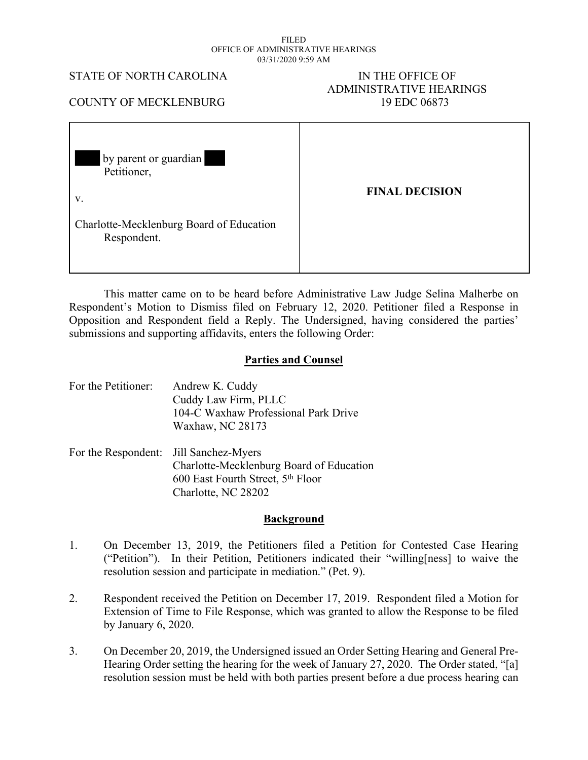#### FILED OFFICE OF ADMINISTRATIVE HEARINGS 03/31/2020 9:59 AM

### STATE OF NORTH CAROLINA IN THE OFFICE OF

# ADMINISTRATIVE HEARINGS

## COUNTY OF MECKLENBURG 19 EDC 06873

| by parent or guardian<br>$\blacksquare$<br>Petitioner,  |                       |
|---------------------------------------------------------|-----------------------|
| V.                                                      | <b>FINAL DECISION</b> |
| Charlotte-Mecklenburg Board of Education<br>Respondent. |                       |

This matter came on to be heard before Administrative Law Judge Selina Malherbe on Respondent's Motion to Dismiss filed on February 12, 2020. Petitioner filed a Response in Opposition and Respondent field a Reply. The Undersigned, having considered the parties' submissions and supporting affidavits, enters the following Order:

## **Parties and Counsel**

| For the Petitioner:                    | Andrew K. Cuddy<br>Cuddy Law Firm, PLLC<br>104-C Waxhaw Professional Park Drive                               |
|----------------------------------------|---------------------------------------------------------------------------------------------------------------|
| For the Respondent: Jill Sanchez-Myers | Waxhaw, NC 28173<br>Charlotte-Mecklenburg Board of Education<br>600 East Fourth Street, 5 <sup>th</sup> Floor |

Charlotte, NC 28202

#### **Background**

- 1. On December 13, 2019, the Petitioners filed a Petition for Contested Case Hearing ("Petition"). In their Petition, Petitioners indicated their "willing[ness] to waive the resolution session and participate in mediation." (Pet. 9).
- 2. Respondent received the Petition on December 17, 2019. Respondent filed a Motion for Extension of Time to File Response, which was granted to allow the Response to be filed by January 6, 2020.
- 3. On December 20, 2019, the Undersigned issued an Order Setting Hearing and General Pre-Hearing Order setting the hearing for the week of January 27, 2020. The Order stated, "[a] resolution session must be held with both parties present before a due process hearing can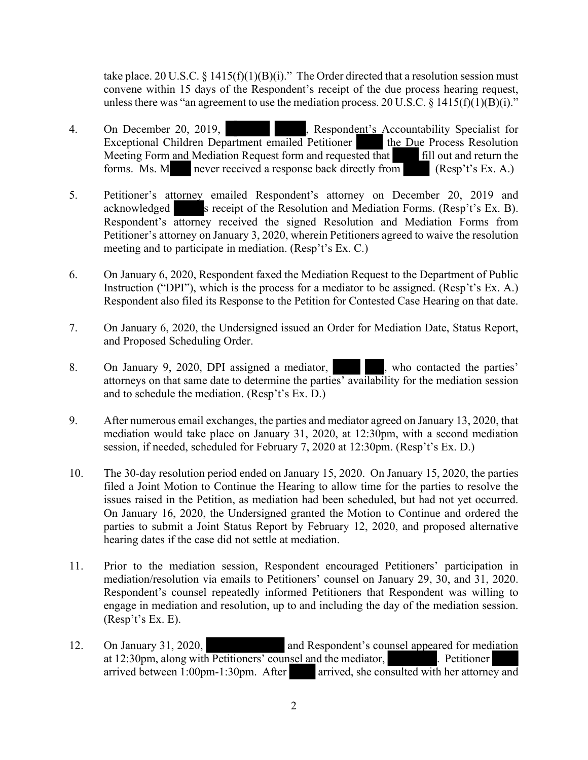take place. 20 U.S.C. § 1415(f)(1)(B)(i)." The Order directed that a resolution session must convene within 15 days of the Respondent's receipt of the due process hearing request, unless there was "an agreement to use the mediation process. 20 U.S.C.  $\S$  1415(f)(1)(B)(i)."

- 4. On December 20, 2019, **and School Specialist For Exceptional Children Department emailed Petitioner Children Process Resolution** Exceptional Children Department emailed Petitioner Meeting Form and Mediation Request form and requested that fill out and return the forms. Ms. M never received a response back directly from  $(Resp't's Ex. A.)$
- 5. Petitioner's attorney emailed Respondent's attorney on December 20, 2019 and acknowledged s receipt of the Resolution and Mediation Forms. (Resp't's Ex. B). Respondent's attorney received the signed Resolution and Mediation Forms from Petitioner's attorney on January 3, 2020, wherein Petitioners agreed to waive the resolution meeting and to participate in mediation. (Resp't's Ex. C.)
- 6. On January 6, 2020, Respondent faxed the Mediation Request to the Department of Public Instruction ("DPI"), which is the process for a mediator to be assigned. (Resp't's Ex. A.) Respondent also filed its Response to the Petition for Contested Case Hearing on that date.
- 7. On January 6, 2020, the Undersigned issued an Order for Mediation Date, Status Report, and Proposed Scheduling Order.
- 8. On January 9, 2020, DPI assigned a mediator, who contacted the parties' attorneys on that same date to determine the parties' availability for the mediation session and to schedule the mediation. (Resp't's Ex. D.)
- 9. After numerous email exchanges, the parties and mediator agreed on January 13, 2020, that mediation would take place on January 31, 2020, at 12:30pm, with a second mediation session, if needed, scheduled for February 7, 2020 at 12:30pm. (Resp't's Ex. D.)
- 10. The 30-day resolution period ended on January 15, 2020. On January 15, 2020, the parties filed a Joint Motion to Continue the Hearing to allow time for the parties to resolve the issues raised in the Petition, as mediation had been scheduled, but had not yet occurred. On January 16, 2020, the Undersigned granted the Motion to Continue and ordered the parties to submit a Joint Status Report by February 12, 2020, and proposed alternative hearing dates if the case did not settle at mediation.
- 11. Prior to the mediation session, Respondent encouraged Petitioners' participation in mediation/resolution via emails to Petitioners' counsel on January 29, 30, and 31, 2020. Respondent's counsel repeatedly informed Petitioners that Respondent was willing to engage in mediation and resolution, up to and including the day of the mediation session. (Resp't's Ex. E).
- 12. On January 31, 2020, and Respondent's counsel appeared for mediation at 12:30pm, along with Petitioners' counsel and the mediator, **Example 2.** Petitioner arrived between  $1:00 \text{pm} - 1:30 \text{pm}$ . After arrived, she consulted with her attorney and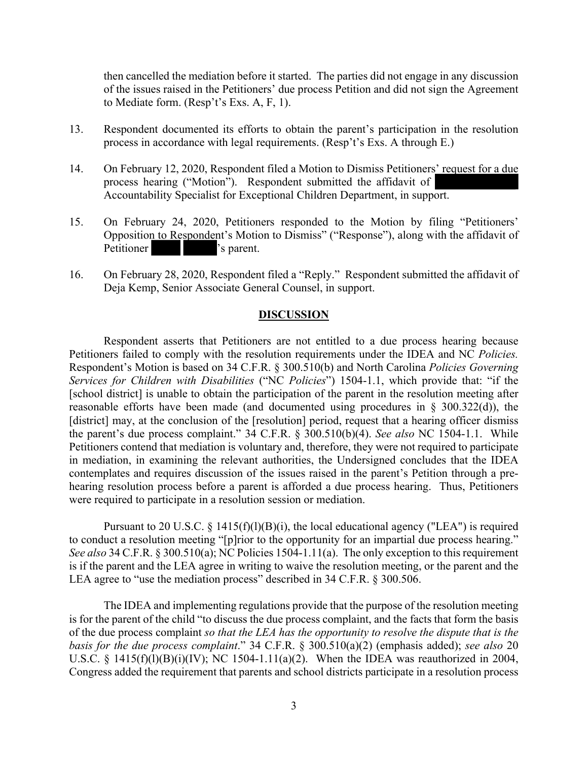then cancelled the mediation before it started. The parties did not engage in any discussion of the issues raised in the Petitioners' due process Petition and did not sign the Agreement to Mediate form. (Resp't's Exs. A, F, 1).

- 13. Respondent documented its efforts to obtain the parent's participation in the resolution process in accordance with legal requirements. (Resp't's Exs. A through E.)
- 14. On February 12, 2020, Respondent filed a Motion to Dismiss Petitioners' request for a due process hearing ("Motion"). Respondent submitted the affidavit of Accountability Specialist for Exceptional Children Department, in support.
- 15. On February 24, 2020, Petitioners responded to the Motion by filing "Petitioners' Opposition to Respondent's Motion to Dismiss" ("Response"), along with the affidavit of Petitioner  $\blacksquare$  's parent.
- 16. On February 28, 2020, Respondent filed a "Reply." Respondent submitted the affidavit of Deja Kemp, Senior Associate General Counsel, in support.

#### **DISCUSSION**

Respondent asserts that Petitioners are not entitled to a due process hearing because Petitioners failed to comply with the resolution requirements under the IDEA and NC *Policies.*  Respondent's Motion is based on 34 C.F.R. § 300.510(b) and North Carolina *Policies Governing Services for Children with Disabilities* ("NC *Policies*") 1504-1.1, which provide that: "if the [school district] is unable to obtain the participation of the parent in the resolution meeting after reasonable efforts have been made (and documented using procedures in § 300.322(d)), the [district] may, at the conclusion of the [resolution] period, request that a hearing officer dismiss the parent's due process complaint." 34 C.F.R. § 300.510(b)(4). *See also* NC 1504-1.1. While Petitioners contend that mediation is voluntary and, therefore, they were not required to participate in mediation, in examining the relevant authorities, the Undersigned concludes that the IDEA contemplates and requires discussion of the issues raised in the parent's Petition through a prehearing resolution process before a parent is afforded a due process hearing. Thus, Petitioners were required to participate in a resolution session or mediation.

Pursuant to 20 U.S.C.  $\S$  1415(f)(l)(B)(i), the local educational agency ("LEA") is required to conduct a resolution meeting "[p]rior to the opportunity for an impartial due process hearing." *See also* 34 C.F.R. § 300.510(a); NC Policies 1504-1.11(a). The only exception to this requirement is if the parent and the LEA agree in writing to waive the resolution meeting, or the parent and the LEA agree to "use the mediation process" described in 34 C.F.R. § 300.506.

The IDEA and implementing regulations provide that the purpose of the resolution meeting is for the parent of the child "to discuss the due process complaint, and the facts that form the basis of the due process complaint *so that the LEA has the opportunity to resolve the dispute that is the basis for the due process complaint*." 34 C.F.R. § 300.510(a)(2) (emphasis added); *see also* 20 U.S.C. § 1415(f)(l)(B)(i)(IV); NC 1504-1.11(a)(2). When the IDEA was reauthorized in 2004, Congress added the requirement that parents and school districts participate in a resolution process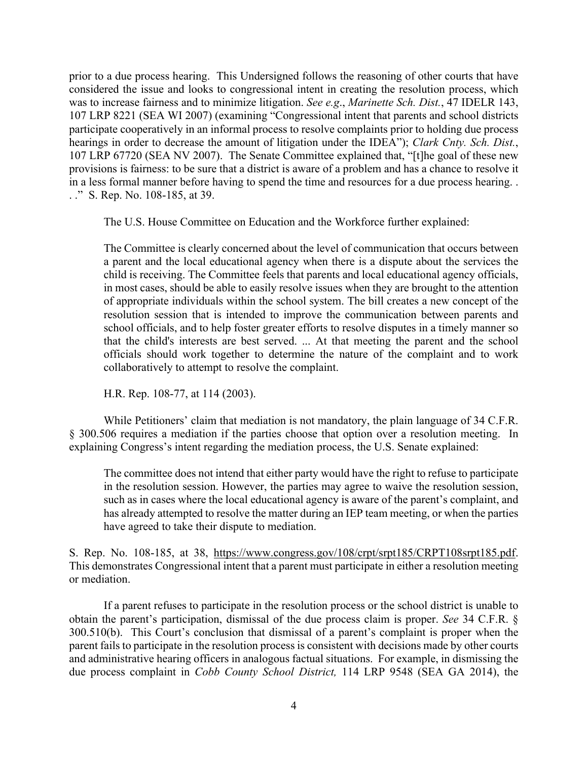prior to a due process hearing. This Undersigned follows the reasoning of other courts that have considered the issue and looks to congressional intent in creating the resolution process, which was to increase fairness and to minimize litigation. *See e.g*., *Marinette Sch. Dist.*, 47 IDELR 143, 107 LRP 8221 (SEA WI 2007) (examining "Congressional intent that parents and school districts participate cooperatively in an informal process to resolve complaints prior to holding due process hearings in order to decrease the amount of litigation under the IDEA"); *Clark Cnty. Sch. Dist.*, 107 LRP 67720 (SEA NV 2007). The Senate Committee explained that, "[t]he goal of these new provisions is fairness: to be sure that a district is aware of a problem and has a chance to resolve it in a less formal manner before having to spend the time and resources for a due process hearing. . . ." S. Rep. No. 108-185, at 39.

The U.S. House Committee on Education and the Workforce further explained:

The Committee is clearly concerned about the level of communication that occurs between a parent and the local educational agency when there is a dispute about the services the child is receiving. The Committee feels that parents and local educational agency officials, in most cases, should be able to easily resolve issues when they are brought to the attention of appropriate individuals within the school system. The bill creates a new concept of the resolution session that is intended to improve the communication between parents and school officials, and to help foster greater efforts to resolve disputes in a timely manner so that the child's interests are best served. ... At that meeting the parent and the school officials should work together to determine the nature of the complaint and to work collaboratively to attempt to resolve the complaint.

H.R. Rep. 108-77, at 114 (2003).

While Petitioners' claim that mediation is not mandatory, the plain language of 34 C.F.R. § 300.506 requires a mediation if the parties choose that option over a resolution meeting. In explaining Congress's intent regarding the mediation process, the U.S. Senate explained:

The committee does not intend that either party would have the right to refuse to participate in the resolution session. However, the parties may agree to waive the resolution session, such as in cases where the local educational agency is aware of the parent's complaint, and has already attempted to resolve the matter during an IEP team meeting, or when the parties have agreed to take their dispute to mediation.

S. Rep. No. 108-185, at 38, https://www.congress.gov/108/crpt/srpt185/CRPT108srpt185.pdf. This demonstrates Congressional intent that a parent must participate in either a resolution meeting or mediation.

If a parent refuses to participate in the resolution process or the school district is unable to obtain the parent's participation, dismissal of the due process claim is proper. *See* 34 C.F.R. § 300.510(b). This Court's conclusion that dismissal of a parent's complaint is proper when the parent fails to participate in the resolution process is consistent with decisions made by other courts and administrative hearing officers in analogous factual situations. For example, in dismissing the due process complaint in *Cobb County School District,* 114 LRP 9548 (SEA GA 2014), the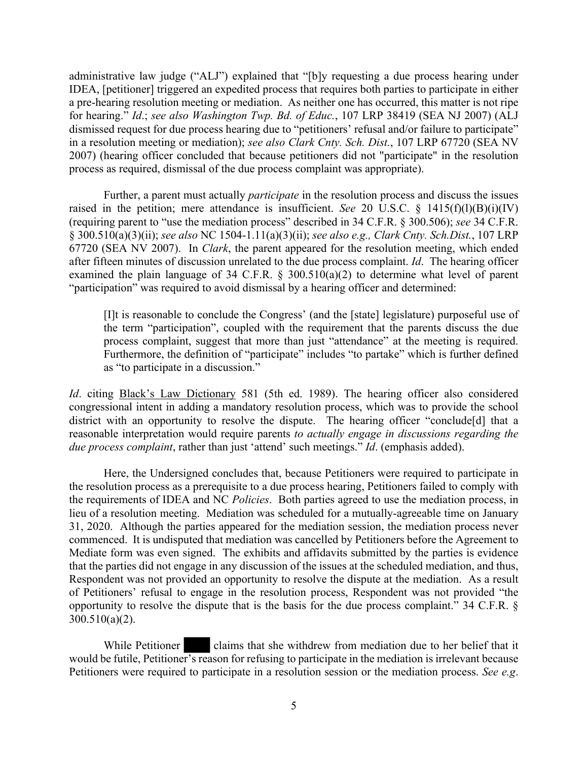administrative law judge ("ALJ") explained that "[b]y requesting a due process hearing under IDEA, [petitioner] triggered an expedited process that requires both parties to participate in either a pre-hearing resolution meeting or mediation. As neither one has occurred, this matter is not ripe for hearing." *Id*.; *see also Washington Twp. Bd. of Educ.*, 107 LRP 38419 (SEA NJ 2007) (ALJ dismissed request for due process hearing due to "petitioners' refusal and/or failure to participate" in a resolution meeting or mediation); *see also Clark Cnty. Sch. Dist.*, 107 LRP 67720 (SEA NV 2007) (hearing officer concluded that because petitioners did not "participate" in the resolution process as required, dismissal of the due process complaint was appropriate).

Further, a parent must actually *participate* in the resolution process and discuss the issues raised in the petition; mere attendance is insufficient. *See* 20 U.S.C. § 1415(f)(l)(B)(i)(IV) (requiring parent to "use the mediation process" described in 34 C.F.R. § 300.506); *see* 34 C.F.R. § 300.510(a)(3)(ii); *see also* NC 1504-1.11(a)(3)(ii); *see also e.g., Clark Cnty. Sch.Dist.*, 107 LRP 67720 (SEA NV 2007). In *Clark*, the parent appeared for the resolution meeting, which ended after fifteen minutes of discussion unrelated to the due process complaint. *Id*. The hearing officer examined the plain language of 34 C.F.R. § 300.510(a)(2) to determine what level of parent "participation" was required to avoid dismissal by a hearing officer and determined:

[I]t is reasonable to conclude the Congress' (and the [state] legislature) purposeful use of the term "participation", coupled with the requirement that the parents discuss the due process complaint, suggest that more than just "attendance" at the meeting is required. Furthermore, the definition of "participate" includes "to partake" which is further defined as "to participate in a discussion."

*Id*. citing Black's Law Dictionary 581 (5th ed. 1989). The hearing officer also considered congressional intent in adding a mandatory resolution process, which was to provide the school district with an opportunity to resolve the dispute. The hearing officer "conclude<sup>[d]</sup> that a reasonable interpretation would require parents *to actually engage in discussions regarding the due process complaint*, rather than just 'attend' such meetings." *Id*. (emphasis added).

Here, the Undersigned concludes that, because Petitioners were required to participate in the resolution process as a prerequisite to a due process hearing, Petitioners failed to comply with the requirements of IDEA and NC *Policies*. Both parties agreed to use the mediation process, in lieu of a resolution meeting. Mediation was scheduled for a mutually-agreeable time on January 31, 2020. Although the parties appeared for the mediation session, the mediation process never commenced. It is undisputed that mediation was cancelled by Petitioners before the Agreement to Mediate form was even signed. The exhibits and affidavits submitted by the parties is evidence that the parties did not engage in any discussion of the issues at the scheduled mediation, and thus, Respondent was not provided an opportunity to resolve the dispute at the mediation. As a result of Petitioners' refusal to engage in the resolution process, Respondent was not provided "the opportunity to resolve the dispute that is the basis for the due process complaint." 34 C.F.R. § 300.510(a)(2).

While Petitioner claims that she withdrew from mediation due to her belief that it would be futile, Petitioner's reason for refusing to participate in the mediation is irrelevant because Petitioners were required to participate in a resolution session or the mediation process. *See e.g*.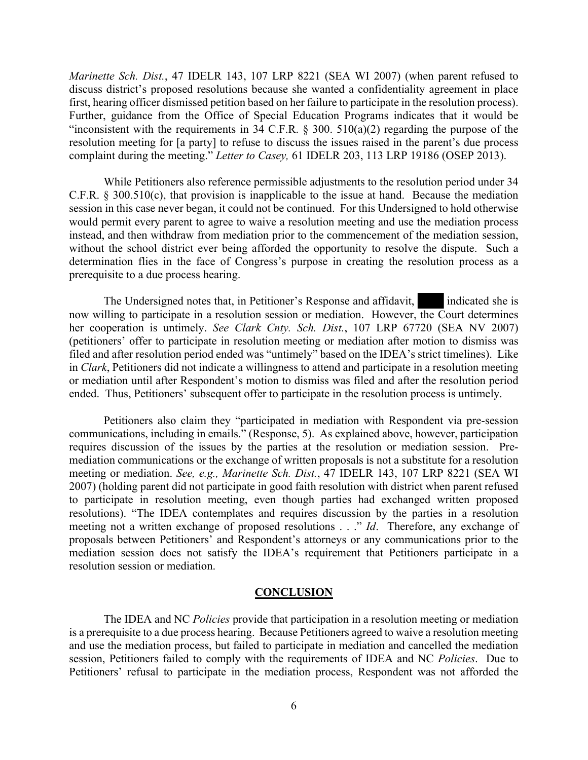*Marinette Sch. Dist.*, 47 IDELR 143, 107 LRP 8221 (SEA WI 2007) (when parent refused to discuss district's proposed resolutions because she wanted a confidentiality agreement in place first, hearing officer dismissed petition based on her failure to participate in the resolution process). Further, guidance from the Office of Special Education Programs indicates that it would be "inconsistent with the requirements in 34 C.F.R.  $\S$  300. 510(a)(2) regarding the purpose of the resolution meeting for [a party] to refuse to discuss the issues raised in the parent's due process complaint during the meeting." *Letter to Casey,* 61 IDELR 203, 113 LRP 19186 (OSEP 2013).

While Petitioners also reference permissible adjustments to the resolution period under 34 C.F.R. § 300.510(c), that provision is inapplicable to the issue at hand. Because the mediation session in this case never began, it could not be continued. For this Undersigned to hold otherwise would permit every parent to agree to waive a resolution meeting and use the mediation process instead, and then withdraw from mediation prior to the commencement of the mediation session, without the school district ever being afforded the opportunity to resolve the dispute. Such a determination flies in the face of Congress's purpose in creating the resolution process as a prerequisite to a due process hearing.

The Undersigned notes that, in Petitioner's Response and affidavit, indicated she is now willing to participate in a resolution session or mediation. However, the Court determines her cooperation is untimely. *See Clark Cnty. Sch. Dist.*, 107 LRP 67720 (SEA NV 2007) (petitioners' offer to participate in resolution meeting or mediation after motion to dismiss was filed and after resolution period ended was "untimely" based on the IDEA's strict timelines). Like in *Clark*, Petitioners did not indicate a willingness to attend and participate in a resolution meeting or mediation until after Respondent's motion to dismiss was filed and after the resolution period ended. Thus, Petitioners' subsequent offer to participate in the resolution process is untimely.

Petitioners also claim they "participated in mediation with Respondent via pre-session communications, including in emails." (Response, 5). As explained above, however, participation requires discussion of the issues by the parties at the resolution or mediation session. Premediation communications or the exchange of written proposals is not a substitute for a resolution meeting or mediation. *See, e.g., Marinette Sch. Dist.*, 47 IDELR 143, 107 LRP 8221 (SEA WI 2007) (holding parent did not participate in good faith resolution with district when parent refused to participate in resolution meeting, even though parties had exchanged written proposed resolutions). "The IDEA contemplates and requires discussion by the parties in a resolution meeting not a written exchange of proposed resolutions . . ." *Id*. Therefore, any exchange of proposals between Petitioners' and Respondent's attorneys or any communications prior to the mediation session does not satisfy the IDEA's requirement that Petitioners participate in a resolution session or mediation.

#### **CONCLUSION**

The IDEA and NC *Policies* provide that participation in a resolution meeting or mediation is a prerequisite to a due process hearing. Because Petitioners agreed to waive a resolution meeting and use the mediation process, but failed to participate in mediation and cancelled the mediation session, Petitioners failed to comply with the requirements of IDEA and NC *Policies*. Due to Petitioners' refusal to participate in the mediation process, Respondent was not afforded the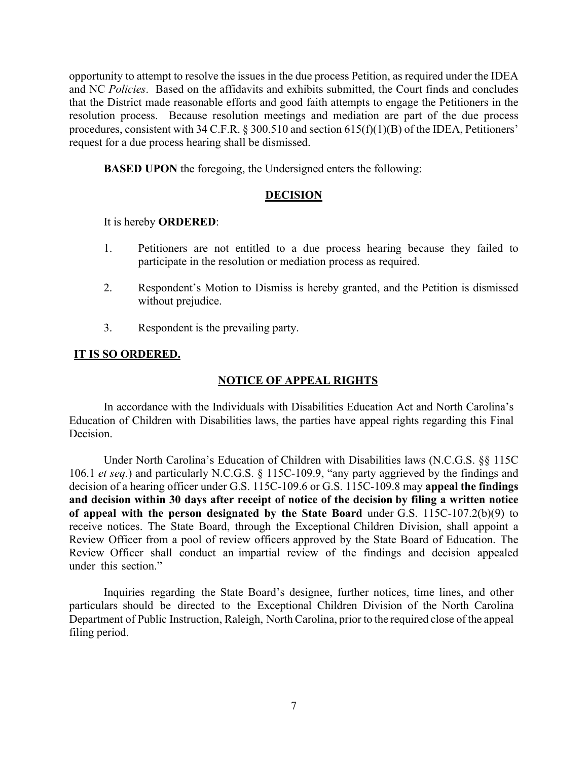opportunity to attempt to resolve the issues in the due process Petition, as required under the IDEA and NC *Policies*. Based on the affidavits and exhibits submitted, the Court finds and concludes that the District made reasonable efforts and good faith attempts to engage the Petitioners in the resolution process. Because resolution meetings and mediation are part of the due process procedures, consistent with 34 C.F.R. § 300.510 and section 615(f)(1)(B) of the IDEA, Petitioners' request for a due process hearing shall be dismissed.

**BASED UPON** the foregoing, the Undersigned enters the following:

## **DECISION**

## It is hereby **ORDERED**:

- 1. Petitioners are not entitled to a due process hearing because they failed to participate in the resolution or mediation process as required.
- 2. Respondent's Motion to Dismiss is hereby granted, and the Petition is dismissed without prejudice.
- 3. Respondent is the prevailing party.

## **IT IS SO ORDERED.**

## **NOTICE OF APPEAL RIGHTS**

In accordance with the Individuals with Disabilities Education Act and North Carolina's Education of Children with Disabilities laws, the parties have appeal rights regarding this Final Decision.

Under North Carolina's Education of Children with Disabilities laws (N.C.G.S. §§ 115C 106.1 *et seq.*) and particularly N.C.G.S. § 115C-109.9, "any party aggrieved by the findings and decision of a hearing officer under G.S. 115C-109.6 or G.S. 115C-109.8 may **appeal the findings and decision within 30 days after receipt of notice of the decision by filing a written notice of appeal with the person designated by the State Board** under G.S. 115C-107.2(b)(9) to receive notices. The State Board, through the Exceptional Children Division, shall appoint a Review Officer from a pool of review officers approved by the State Board of Education. The Review Officer shall conduct an impartial review of the findings and decision appealed under this section."

Inquiries regarding the State Board's designee, further notices, time lines, and other particulars should be directed to the Exceptional Children Division of the North Carolina Department of Public Instruction, Raleigh, North Carolina, prior to the required close of the appeal filing period.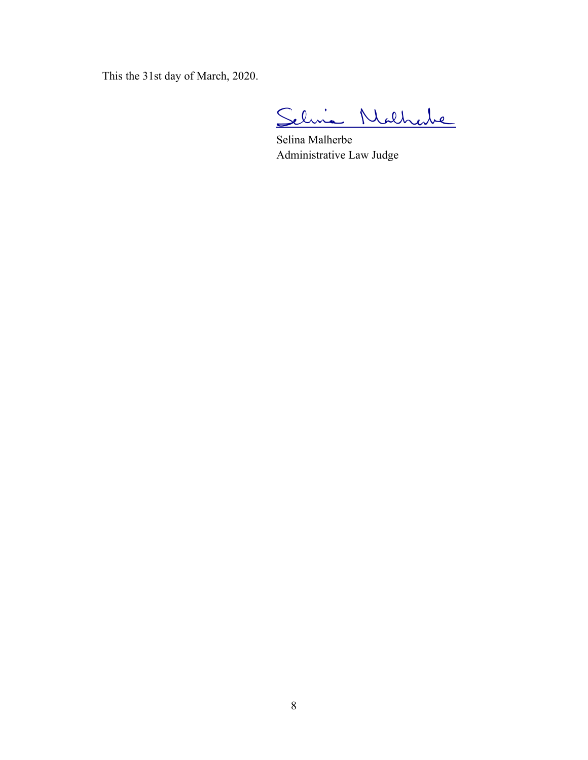This the 31st day of March, 2020.

Selvia Nathabe

Selina Malherbe Administrative Law Judge